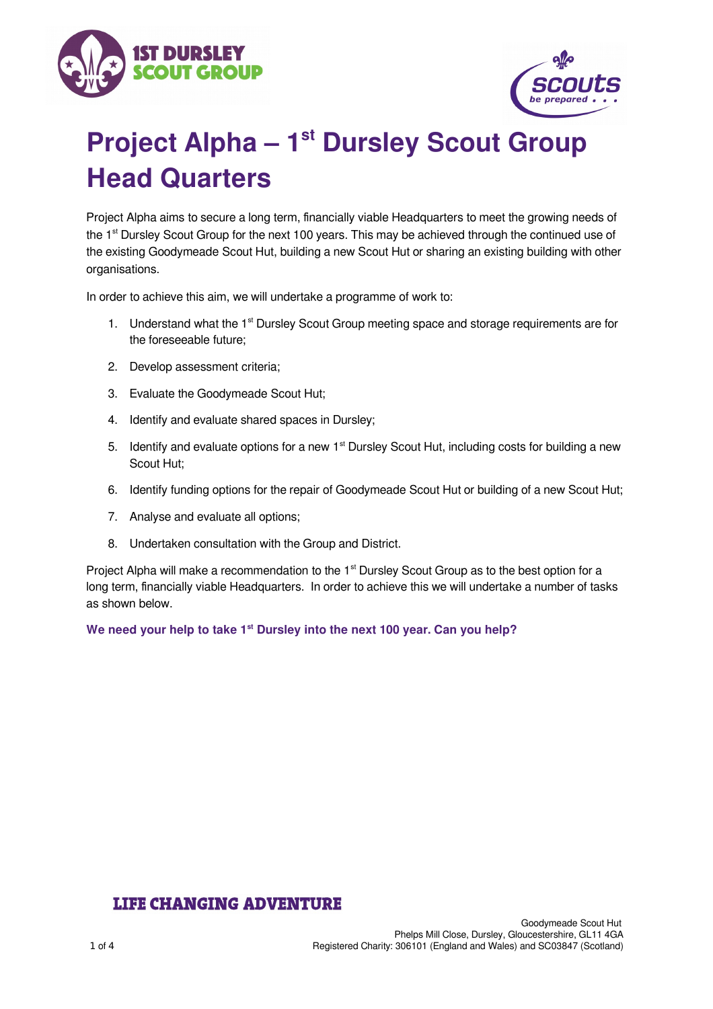



# **Project Alpha – 1st Dursley Scout Group Head Quarters**

Project Alpha aims to secure a long term, financially viable Headquarters to meet the growing needs of the 1<sup>st</sup> Dursley Scout Group for the next 100 years. This may be achieved through the continued use of the existing Goodymeade Scout Hut, building a new Scout Hut or sharing an existing building with other organisations.

In order to achieve this aim, we will undertake a programme of work to:

- 1. Understand what the 1<sup>st</sup> Dursley Scout Group meeting space and storage requirements are for the foreseeable future;
- 2. Develop assessment criteria;
- 3. Evaluate the Goodymeade Scout Hut;
- 4. Identify and evaluate shared spaces in Dursley;
- 5. Identify and evaluate options for a new 1<sup>st</sup> Dursley Scout Hut, including costs for building a new Scout Hut;
- 6. Identify funding options for the repair of Goodymeade Scout Hut or building of a new Scout Hut;
- 7. Analyse and evaluate all options;
- 8. Undertaken consultation with the Group and District.

Project Alpha will make a recommendation to the 1<sup>st</sup> Dursley Scout Group as to the best option for a long term, financially viable Headquarters. In order to achieve this we will undertake a number of tasks as shown below.

We need your help to take 1<sup>st</sup> Dursley into the next 100 year. Can you help?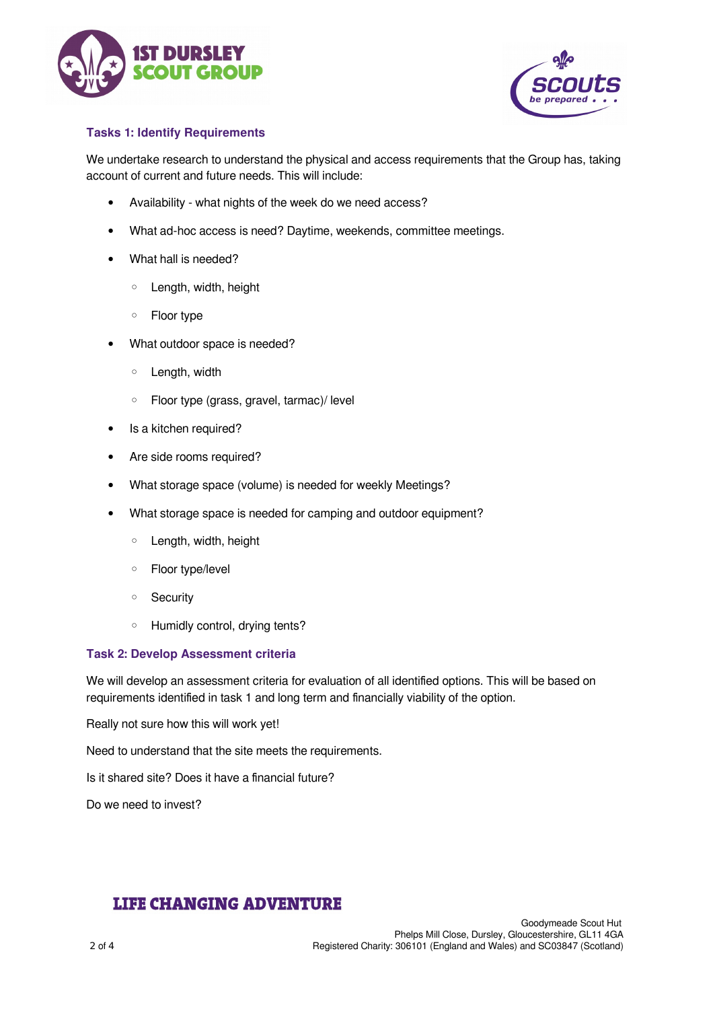



## **Tasks 1: Identify Requirements**

We undertake research to understand the physical and access requirements that the Group has, taking account of current and future needs. This will include:

- Availability what nights of the week do we need access?
- What ad-hoc access is need? Daytime, weekends, committee meetings.
- What hall is needed?
	- Length, width, height
	- Floor type
- What outdoor space is needed?
	- Length, width
	- Floor type (grass, gravel, tarmac)/ level
- Is a kitchen required?
- Are side rooms required?
- What storage space (volume) is needed for weekly Meetings?
- What storage space is needed for camping and outdoor equipment?
	- Length, width, height
	- Floor type/level
	- Security
	- Humidly control, drying tents?

#### **Task 2: Develop Assessment criteria**

We will develop an assessment criteria for evaluation of all identified options. This will be based on requirements identified in task 1 and long term and financially viability of the option.

Really not sure how this will work yet!

Need to understand that the site meets the requirements.

Is it shared site? Does it have a financial future?

Do we need to invest?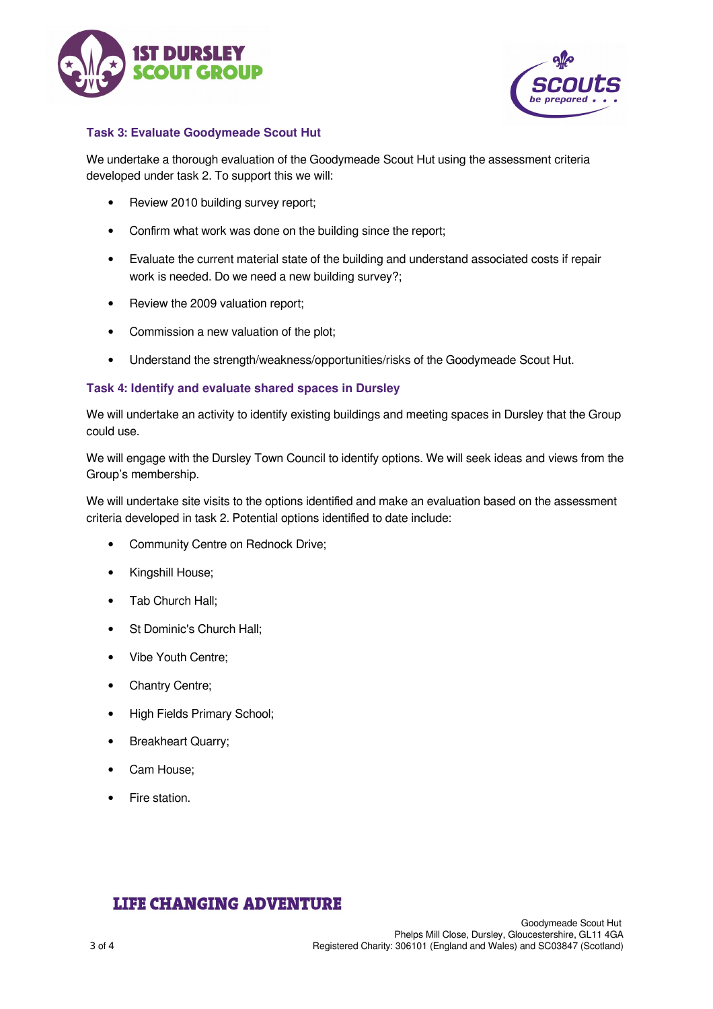



## **Task 3: Evaluate Goodymeade Scout Hut**

We undertake a thorough evaluation of the Goodymeade Scout Hut using the assessment criteria developed under task 2. To support this we will:

- Review 2010 building survey report;
- Confirm what work was done on the building since the report;
- Evaluate the current material state of the building and understand associated costs if repair work is needed. Do we need a new building survey?;
- Review the 2009 valuation report;
- Commission a new valuation of the plot;
- Understand the strength/weakness/opportunities/risks of the Goodymeade Scout Hut.

## **Task 4: Identify and evaluate shared spaces in Dursley**

We will undertake an activity to identify existing buildings and meeting spaces in Dursley that the Group could use.

We will engage with the Dursley Town Council to identify options. We will seek ideas and views from the Group's membership.

We will undertake site visits to the options identified and make an evaluation based on the assessment criteria developed in task 2. Potential options identified to date include:

- Community Centre on Rednock Drive;
- Kingshill House;
- Tab Church Hall;
- St Dominic's Church Hall:
- Vibe Youth Centre;
- Chantry Centre;
- High Fields Primary School;
- Breakheart Quarry;
- Cam House;
- Fire station.